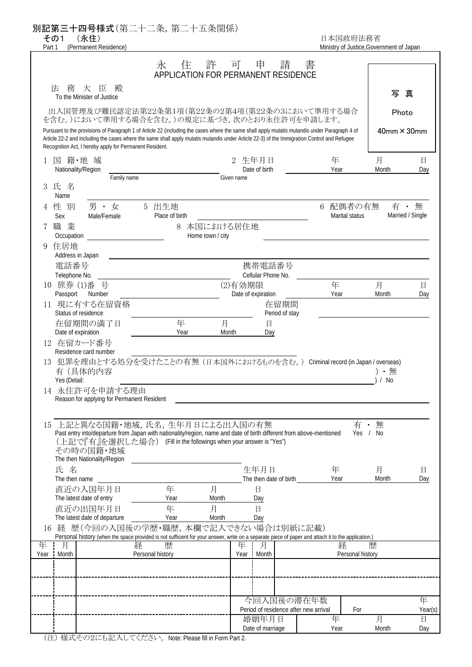別記第三十四号様式(第二十二条,第二十五条関係) その1 (永住) 日本国政府法務省 Part 1 (Permanent Residence) and the material control of Japan Ministry of Justice, Government of Japan 1 国 籍・地 域 2 生年月日 年 月 日 Nationality/Region Date of birth Year Month Day Family name Given name 3 氏 名 Name 4 性 別 の男 ・ 女 の 5 出生地 の つ つ つ つ つ つ つ 6 配偶者の有無 Sex Male/Female Place of birth Marital status Marital status 7 職 業 8 本国における居住地 Occupation **Home town** / city 9 住居地 Address in Japan **電話番号 キャラン おおおお エンジョー おおおお 携帯電話番号** Telephone No. Cellular Phone No. (1)番 号 (2)有効期限 年 月 日 Passport Number 2008 Number 2009 Cate of expiration Changes and Month Date of expiration 2016 Year 2016 11 現に有する在留資格 - - - - - - - - - - - - - - - 在留期間 Status of residence **Period** of stay 在留期間の満了日 - 年 月 日 Date of expiration and the Contract of Pear Month Day 12 在留カード番号 Residence card number 13 犯罪を理由とする処分を受けたことの有無 (日本国外におけるものを含む。) Criminal record (in Japan / overseas) **有(具体的内容 ) ・ 無 ( ) ・ 無 ( ) ・ 無 ( ) ・ 無 ( ) ・ 無 ( ) ・ 無** ( ) ・ 無 ( ) ・ 無 ( ) ・ 無 ( ) ・ 無 Yes (Detail: ) / No 14 永住許可を申請する理由 Reason for applying for Permanent Resident 15 上記と異なる国籍・地域,氏名,生年月日による出入国の有無 インコン 有・無 Past entry into/departure from Japan with nationality/region, name and date of birth different from above-mentioned Yes / No (上記で『有』を選択した場合) (Fill in the followings when your answer is "Yes") その時の国籍・地域 The then Nationality/Region 氏の名 しょうしょう こうしょう エンジェクト 生年月日 しゅう 年の 月の日 日の The then name Year Month Day The then date of birth 直近の入国年月日 年 月 日 The latest date of entry The latest date of entry 直近の出国年月日 年 月 日 The latest date of departure The Vear Month Day 16 経 歴(今回の入国後の学歴・職歴,本欄で記入できない場合は別紙に記載) Personal history (when the space provided is not sufficient for your answer, write on a separate piece of paper and attach it to the application.) 年 For Year(s) 年 月 日 Year Month Day 経 歴 Personal history 今回入国後の滞在年数 Period of residence after new arrival Year Month 月 年 10 旅券 永 住 許 可 申 請 書 APPLICATION FOR PERMANENT RESIDENCE Pursuant to the provisions of Paragraph 1 of Article 22 (including the cases where the same shall apply mutatis mutandis under Paragraph 4 of Article 22-2 and including the cases where the same shall apply mutatis mutandis under Article 22-3) of the Immigration Control and Refugee Recognition Act, I hereby apply for Permanent Resident. 出入国管理及び難民認定法第22条第1項(第22条の2第4項(第22条の3において準用する場合 を含む。)において準用する場合を含む。)の規定に基づき,次のとおり永住許可を申請します。 法務大臣殿 To the Minister of Justice Personal history 経 歴 Year Month 年 月 有・無 Married / Single 婚姻年月日 Date of marriage 写 真 Photo 40mm×30mm

(注) 様式その2にも記入してください。 Note: Please fill in Form Part 2.